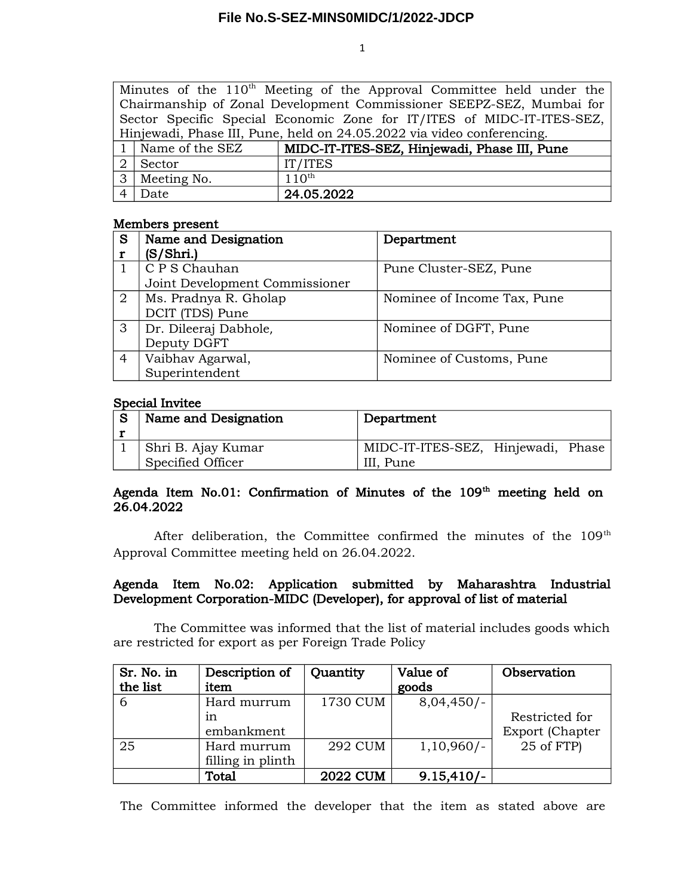1

|                                                                        |                     | Minutes of the 110 <sup>th</sup> Meeting of the Approval Committee held under the |  |  |
|------------------------------------------------------------------------|---------------------|-----------------------------------------------------------------------------------|--|--|
| Chairmanship of Zonal Development Commissioner SEEPZ-SEZ, Mumbai for   |                     |                                                                                   |  |  |
| Sector Specific Special Economic Zone for IT/ITES of MIDC-IT-ITES-SEZ, |                     |                                                                                   |  |  |
| Hinjewadi, Phase III, Pune, held on 24.05.2022 via video conferencing. |                     |                                                                                   |  |  |
|                                                                        | 1   Name of the SEZ | MIDC-IT-ITES-SEZ, Hinjewadi, Phase III, Pune                                      |  |  |
| 2 l                                                                    | Sector              | IT/ITES                                                                           |  |  |
|                                                                        | 3 Meeting No.       | $110^{th}$                                                                        |  |  |
|                                                                        | Date                | 24.05.2022                                                                        |  |  |

## Members present

| S              | Name and Designation           | Department                  |
|----------------|--------------------------------|-----------------------------|
|                | (S/Shri.)                      |                             |
|                | C P S Chauhan                  | Pune Cluster-SEZ, Pune      |
|                | Joint Development Commissioner |                             |
| $\overline{2}$ | Ms. Pradnya R. Gholap          | Nominee of Income Tax, Pune |
|                | DCIT (TDS) Pune                |                             |
| 3              | Dr. Dileeraj Dabhole,          | Nominee of DGFT, Pune       |
|                | Deputy DGFT                    |                             |
| 4              | Vaibhav Agarwal,               | Nominee of Customs, Pune    |
|                | Superintendent                 |                             |

## Special Invitee

| Name and Designation | Department                         |
|----------------------|------------------------------------|
| Shri B. Ajay Kumar   | MIDC-IT-ITES-SEZ, Hinjewadi, Phase |
| Specified Officer    | III. Pune                          |

# Agenda Item No.01: Confirmation of Minutes of the  $109<sup>th</sup>$  meeting held on 26.04.2022

After deliberation, the Committee confirmed the minutes of the 109<sup>th</sup> Approval Committee meeting held on 26.04.2022.

## Agenda Item No.02: Application submitted by Maharashtra Industrial Development Corporation-MIDC (Developer), for approval of list of material

The Committee was informed that the list of material includes goods which are restricted for export as per Foreign Trade Policy

| Sr. No. in | Description of    | Quantity        | Value of     | Observation     |
|------------|-------------------|-----------------|--------------|-----------------|
| the list   | item              |                 | goods        |                 |
| 6          | Hard murrum       | 1730 CUM        | $8,04,450/-$ |                 |
|            | in                |                 |              | Restricted for  |
|            | embankment        |                 |              | Export (Chapter |
| 25         | Hard murrum       | <b>292 CUM</b>  | $1,10,960/-$ | 25 of FTP)      |
|            | filling in plinth |                 |              |                 |
|            | Total             | <b>2022 CUM</b> | $9.15,410/-$ |                 |

The Committee informed the developer that the item as stated above are